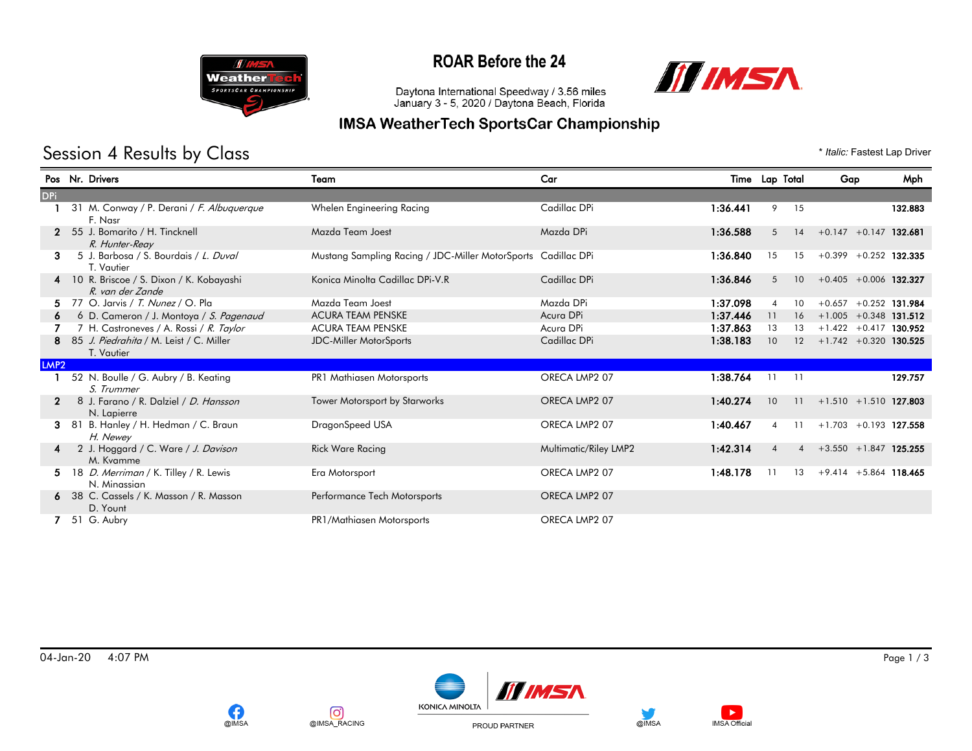

## **ROAR Before the 24**



Daytona International Speedway / 3.56 miles<br>January 3 - 5, 2020 / Daytona Beach, Florida

#### **IMSA WeatherTech SportsCar Championship**

# Session 4 Results by Class  $*$  *Italic:* Fastest Lap Driver

|                  | Pos Nr. Drivers                                               | Team                                                          | Car                   |          | Time Lap Total                    | Gap            | Mph                      |
|------------------|---------------------------------------------------------------|---------------------------------------------------------------|-----------------------|----------|-----------------------------------|----------------|--------------------------|
| <b>DPi</b>       |                                                               |                                                               |                       |          |                                   |                |                          |
|                  | 31 M. Conway / P. Derani / F. Albuquerque<br>F. Nasr          | Whelen Engineering Racing                                     | Cadillac DPi          | 1:36.441 | 9<br>15                           |                | 132.883                  |
|                  | 2 55 J. Bomarito / H. Tincknell<br>R. Hunter-Reay             | Mazda Team Joest                                              | Mazda DPi             | 1:36.588 | 14<br>5                           |                | $+0.147 + 0.147$ 132.681 |
| З.               | 5 J. Barbosa / S. Bourdais / L. Duval<br>T. Vautier           | Mustang Sampling Racing / JDC-Miller MotorSports Cadillac DPi |                       | 1:36.840 | 15<br>15                          |                | $+0.399 + 0.252$ 132.335 |
|                  | 4 10 R. Briscoe / S. Dixon / K. Kobayashi<br>R. van der Zande | Konica Minolta Cadillac DPi-V.R                               | Cadillac DPi          | 1:36.846 | 10 <sup>°</sup><br>5              |                | $+0.405 + 0.006$ 132.327 |
|                  | 5 77 O. Jarvis / T. Nunez / O. Pla                            | Mazda Team Joest                                              | Mazda DPi             | 1:37.098 | 10<br>$\boldsymbol{\vartriangle}$ | $+0.657$       | $+0.252$ 131.984         |
|                  | 6 D. Cameron / J. Montoya / S. Pagenaud                       | <b>ACURA TEAM PENSKE</b>                                      | Acura DPi             | 1:37.446 | 11<br>16                          |                | $+1.005 + 0.348$ 131.512 |
|                  | 7 H. Castroneves / A. Rossi / R. Taylor                       | <b>ACURA TEAM PENSKE</b>                                      | Acura DPi             | 1:37.863 | 13<br>13                          |                | $+1.422 +0.417$ 130.952  |
|                  | 85 J. Piedrahita / M. Leist / C. Miller<br>T. Vautier         | <b>JDC-Miller MotorSports</b>                                 | Cadillac DPi          | 1:38.183 | 10<br>12                          |                | $+1.742 + 0.320$ 130.525 |
| LMP <sub>2</sub> |                                                               |                                                               |                       |          |                                   |                |                          |
|                  | 52 N. Boulle / G. Aubry / B. Keating<br>S. Trummer            | PR1 Mathiasen Motorsports                                     | ORECA LMP2 07         | 1:38.764 | 11<br>11                          |                | 129.757                  |
|                  | 8 J. Farano / R. Dalziel / D. Hansson<br>N. Lapierre          | <b>Tower Motorsport by Starworks</b>                          | ORECA LMP2 07         | 1:40.274 | 10<br>11                          |                | $+1.510 + 1.510$ 127.803 |
| 3.               | 81 B. Hanley / H. Hedman / C. Braun<br>H. Newey               | DragonSpeed USA                                               | ORECA LMP2 07         | 1:40.467 | 11<br>$\boldsymbol{\vartriangle}$ |                | $+1.703 + 0.193$ 127.558 |
|                  | 2 J. Hoggard / C. Ware / J. Davison<br>M. Kvamme              | <b>Rick Ware Racing</b>                                       | Multimatic/Riley LMP2 | 1:42.314 | $\boldsymbol{\varDelta}$          | $\overline{4}$ | $+3.550 + 1.847$ 125.255 |
|                  | 5 18 D. Merriman / K. Tilley / R. Lewis<br>N. Minassian       | Era Motorsport                                                | ORECA LMP2 07         | 1:48.178 | 13                                |                | $+9.414 + 5.864$ 118.465 |
|                  | 6 38 C. Cassels / K. Masson / R. Masson<br>D. Yount           | Performance Tech Motorsports                                  | ORECA LMP2 07         |          |                                   |                |                          |
|                  | 7 51 G. Aubry                                                 | PR1/Mathiasen Motorsports                                     | ORECA LMP2 07         |          |                                   |                |                          |

04-Jan-20 4:07 PM Page 1 / 3









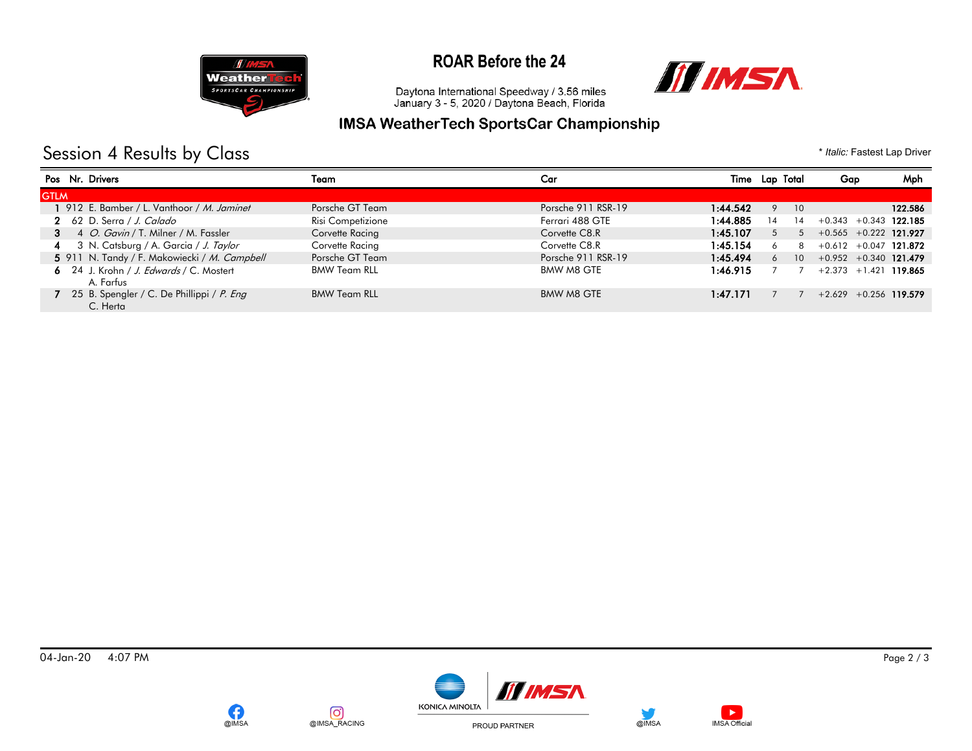

## **ROAR Before the 24**



Daytona International Speedway / 3.56 miles<br>January 3 - 5, 2020 / Daytona Beach, Florida

#### **IMSA WeatherTech SportsCar Championship**

# Session 4 Results by Class  $*$  *Italic:* Fastest Lap Driver

|             | Pos Nr. Drivers                                         | Team                | Car                | Time     | Lap Total            | Gap                         | Mph     |
|-------------|---------------------------------------------------------|---------------------|--------------------|----------|----------------------|-----------------------------|---------|
| <b>GTLM</b> |                                                         |                     |                    |          |                      |                             |         |
|             | 1 912 E. Bamber / L. Vanthoor / M. Jaminet              | Porsche GT Team     | Porsche 911 RSR-19 | 1:44.542 | $\mathsf Q$<br>10    |                             | 122.586 |
|             | 2 62 D. Serra / J. Calado                               | Risi Competizione   | Ferrari 488 GTE    | 1:44.885 | 14<br>14             | $+0.343 + 0.343$ 122.185    |         |
|             | 3 4 O. Gavin / T. Milner / M. Fassler                   | Corvette Racing     | Corvette C8.R      | 1:45.107 | 5                    | $5 + 0.565 + 0.222$ 121.927 |         |
|             | 4 3 N. Catsburg / A. Garcia / J. Taylor                 | Corvette Racing     | Corvette C8.R      | 1:45.154 | 8<br>6               | $+0.612 + 0.047$ 121.872    |         |
|             | 5 911 N. Tandy / F. Makowiecki / M. Campbell            | Porsche GT Team     | Porsche 911 RSR-19 | 1:45.494 | 10 <sup>1</sup><br>6 | $+0.952 +0.340$ 121.479     |         |
|             | 6 24 J. Krohn / J. Edwards / C. Mostert<br>A. Farfus    | <b>BMW Team RLL</b> | BMW M8 GTE         | 1:46.915 |                      | $+2.373 + 1.421$ 119.865    |         |
|             | 7 25 B. Spengler / C. De Phillippi / P. Eng<br>C. Herta | <b>BMW Team RLL</b> | BMW M8 GTE         | 1:47.171 |                      | $+2.629 + 0.256$ 119.579    |         |







PROUD PARTNER

@IMSA